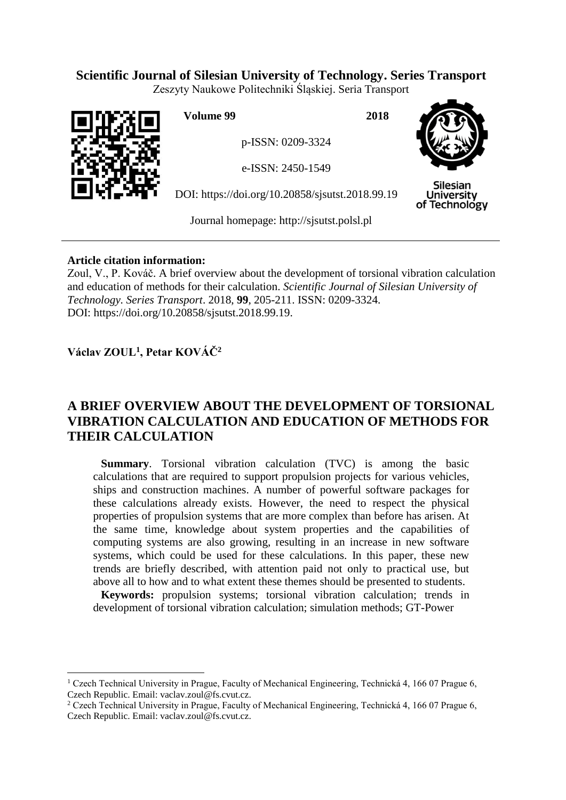# **Scientific Journal of Silesian University of Technology. Series Transport**

Zeszyty Naukowe Politechniki Śląskiej. Seria Transport



**Volume 99 2018**

p-ISSN: 0209-3324

e-ISSN: 2450-1549

DOI: https://doi.org/10.20858/sjsutst.2018.99.19



Silesian **University** of Technology

Journal homepage: [http://sjsutst.polsl.pl](http://sjsutst.polsl.pl/)

# **Article citation information:**

Zoul, V., P. Kováč. A brief overview about the development of torsional vibration calculation and education of methods for their calculation. *Scientific Journal of Silesian University of Technology. Series Transport*. 2018, **99**, 205-211. ISSN: 0209-3324. DOI: https://doi.org/10.20858/sjsutst.2018.99.19.

# **Václav ZOUL<sup>1</sup> , Petar KOVÁČ<sup>2</sup>**

 $\overline{a}$ 

# **A BRIEF OVERVIEW ABOUT THE DEVELOPMENT OF TORSIONAL VIBRATION CALCULATION AND EDUCATION OF METHODS FOR THEIR CALCULATION**

**Summary.** Torsional vibration calculation (TVC) is among the basic calculations that are required to support propulsion projects for various vehicles, ships and construction machines. A number of powerful software packages for these calculations already exists. However, the need to respect the physical properties of propulsion systems that are more complex than before has arisen. At the same time, knowledge about system properties and the capabilities of computing systems are also growing, resulting in an increase in new software systems, which could be used for these calculations. In this paper, these new trends are briefly described, with attention paid not only to practical use, but above all to how and to what extent these themes should be presented to students.

**Keywords:** propulsion systems; torsional vibration calculation; trends in development of torsional vibration calculation; simulation methods; GT-Power

<sup>&</sup>lt;sup>1</sup> Czech Technical University in Prague, Faculty of Mechanical Engineering, Technická 4, 166 07 Prague 6, Czech Republic. Email: vaclav.zoul@fs.cvut.cz.

<sup>&</sup>lt;sup>2</sup> Czech Technical University in Prague, Faculty of Mechanical Engineering, Technická 4, 166 07 Prague 6, Czech Republic. Email: vaclav.zoul@fs.cvut.cz.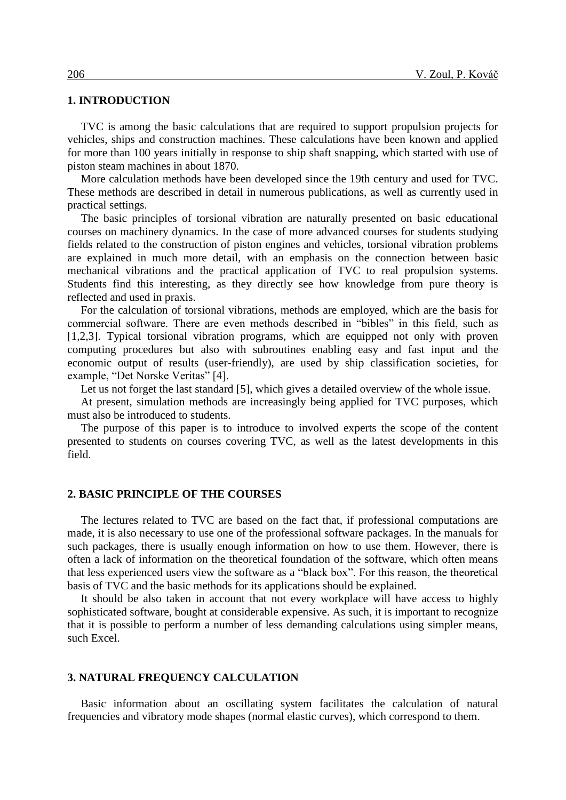### **1. INTRODUCTION**

TVC is among the basic calculations that are required to support propulsion projects for vehicles, ships and construction machines. These calculations have been known and applied for more than 100 years initially in response to ship shaft snapping, which started with use of piston steam machines in about 1870.

More calculation methods have been developed since the 19th century and used for TVC. These methods are described in detail in numerous publications, as well as currently used in practical settings.

The basic principles of torsional vibration are naturally presented on basic educational courses on machinery dynamics. In the case of more advanced courses for students studying fields related to the construction of piston engines and vehicles, torsional vibration problems are explained in much more detail, with an emphasis on the connection between basic mechanical vibrations and the practical application of TVC to real propulsion systems. Students find this interesting, as they directly see how knowledge from pure theory is reflected and used in praxis.

For the calculation of torsional vibrations, methods are employed, which are the basis for commercial software. There are even methods described in "bibles" in this field, such as [1,2,3]. Typical torsional vibration programs, which are equipped not only with proven computing procedures but also with subroutines enabling easy and fast input and the economic output of results (user-friendly), are used by ship classification societies, for example, "Det Norske Veritas" [4].

Let us not forget the last standard [5], which gives a detailed overview of the whole issue.

At present, simulation methods are increasingly being applied for TVC purposes, which must also be introduced to students.

The purpose of this paper is to introduce to involved experts the scope of the content presented to students on courses covering TVC, as well as the latest developments in this field.

#### **2. BASIC PRINCIPLE OF THE COURSES**

The lectures related to TVC are based on the fact that, if professional computations are made, it is also necessary to use one of the professional software packages. In the manuals for such packages, there is usually enough information on how to use them. However, there is often a lack of information on the theoretical foundation of the software, which often means that less experienced users view the software as a "black box". For this reason, the theoretical basis of TVC and the basic methods for its applications should be explained.

It should be also taken in account that not every workplace will have access to highly sophisticated software, bought at considerable expensive. As such, it is important to recognize that it is possible to perform a number of less demanding calculations using simpler means, such Excel.

#### **3. NATURAL FREQUENCY CALCULATION**

Basic information about an oscillating system facilitates the calculation of natural frequencies and vibratory mode shapes (normal elastic curves), which correspond to them.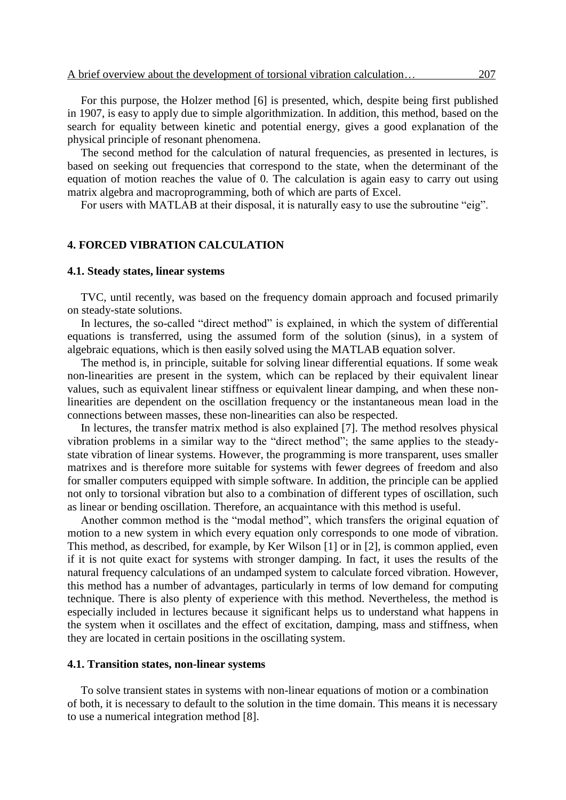For this purpose, the Holzer method [6] is presented, which, despite being first published in 1907, is easy to apply due to simple algorithmization. In addition, this method, based on the search for equality between kinetic and potential energy, gives a good explanation of the physical principle of resonant phenomena.

The second method for the calculation of natural frequencies, as presented in lectures, is based on seeking out frequencies that correspond to the state, when the determinant of the equation of motion reaches the value of 0. The calculation is again easy to carry out using matrix algebra and macroprogramming, both of which are parts of Excel.

For users with MATLAB at their disposal, it is naturally easy to use the subroutine "eig".

#### **4. FORCED VIBRATION CALCULATION**

#### **4.1. Steady states, linear systems**

TVC, until recently, was based on the frequency domain approach and focused primarily on steady-state solutions.

In lectures, the so-called "direct method" is explained, in which the system of differential equations is transferred, using the assumed form of the solution (sinus), in a system of algebraic equations, which is then easily solved using the MATLAB equation solver.

The method is, in principle, suitable for solving linear differential equations. If some weak non-linearities are present in the system, which can be replaced by their equivalent linear values, such as equivalent linear stiffness or equivalent linear damping, and when these nonlinearities are dependent on the oscillation frequency or the instantaneous mean load in the connections between masses, these non-linearities can also be respected.

In lectures, the transfer matrix method is also explained [7]. The method resolves physical vibration problems in a similar way to the "direct method"; the same applies to the steadystate vibration of linear systems. However, the programming is more transparent, uses smaller matrixes and is therefore more suitable for systems with fewer degrees of freedom and also for smaller computers equipped with simple software. In addition, the principle can be applied not only to torsional vibration but also to a combination of different types of oscillation, such as linear or bending oscillation. Therefore, an acquaintance with this method is useful.

Another common method is the "modal method", which transfers the original equation of motion to a new system in which every equation only corresponds to one mode of vibration. This method, as described, for example, by Ker Wilson [1] or in [2], is common applied, even if it is not quite exact for systems with stronger damping. In fact, it uses the results of the natural frequency calculations of an undamped system to calculate forced vibration. However, this method has a number of advantages, particularly in terms of low demand for computing technique. There is also plenty of experience with this method. Nevertheless, the method is especially included in lectures because it significant helps us to understand what happens in the system when it oscillates and the effect of excitation, damping, mass and stiffness, when they are located in certain positions in the oscillating system.

#### **4.1. Transition states, non-linear systems**

To solve transient states in systems with non-linear equations of motion or a combination of both, it is necessary to default to the solution in the time domain. This means it is necessary to use a numerical integration method [8].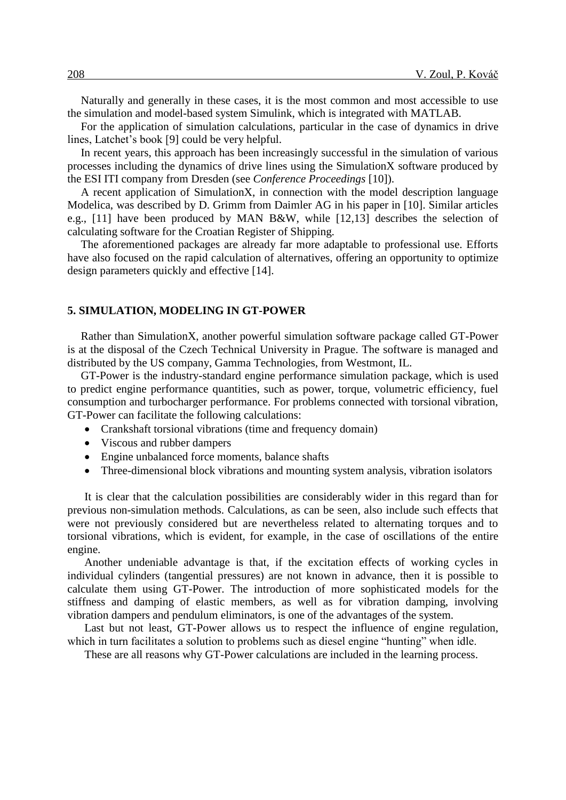Naturally and generally in these cases, it is the most common and most accessible to use the simulation and model-based system Simulink, which is integrated with MATLAB.

For the application of simulation calculations, particular in the case of dynamics in drive lines, Latchet's book [9] could be very helpful.

In recent years, this approach has been increasingly successful in the simulation of various processes including the dynamics of drive lines using the SimulationX software produced by the ESI ITI company from Dresden (see *Conference Proceedings* [10]).

A recent application of SimulationX, in connection with the model description language Modelica, was described by D. Grimm from Daimler AG in his paper in [10]. Similar articles e.g., [11] have been produced by MAN B&W, while [12,13] describes the selection of calculating software for the Croatian Register of Shipping.

The aforementioned packages are already far more adaptable to professional use. Efforts have also focused on the rapid calculation of alternatives, offering an opportunity to optimize design parameters quickly and effective [14].

## **5. SIMULATION, MODELING IN GT-POWER**

Rather than SimulationX, another powerful simulation software package called GT-Power is at the disposal of the Czech Technical University in Prague. The software is managed and distributed by the US company, Gamma Technologies, from Westmont, IL.

GT-Power is the industry-standard engine performance simulation package, which is used to predict engine performance quantities, such as power, torque, volumetric efficiency, fuel consumption and turbocharger performance. For problems connected with torsional vibration, GT-Power can facilitate the following calculations:

- Crankshaft torsional vibrations (time and frequency domain)
- Viscous and rubber dampers
- Engine unbalanced force moments, balance shafts
- Three-dimensional block vibrations and mounting system analysis, vibration isolators

It is clear that the calculation possibilities are considerably wider in this regard than for previous non-simulation methods. Calculations, as can be seen, also include such effects that were not previously considered but are nevertheless related to alternating torques and to torsional vibrations, which is evident, for example, in the case of oscillations of the entire engine.

Another undeniable advantage is that, if the excitation effects of working cycles in individual cylinders (tangential pressures) are not known in advance, then it is possible to calculate them using GT-Power. The introduction of more sophisticated models for the stiffness and damping of elastic members, as well as for vibration damping, involving vibration dampers and pendulum eliminators, is one of the advantages of the system.

Last but not least, GT-Power allows us to respect the influence of engine regulation, which in turn facilitates a solution to problems such as diesel engine "hunting" when idle.

These are all reasons why GT-Power calculations are included in the learning process.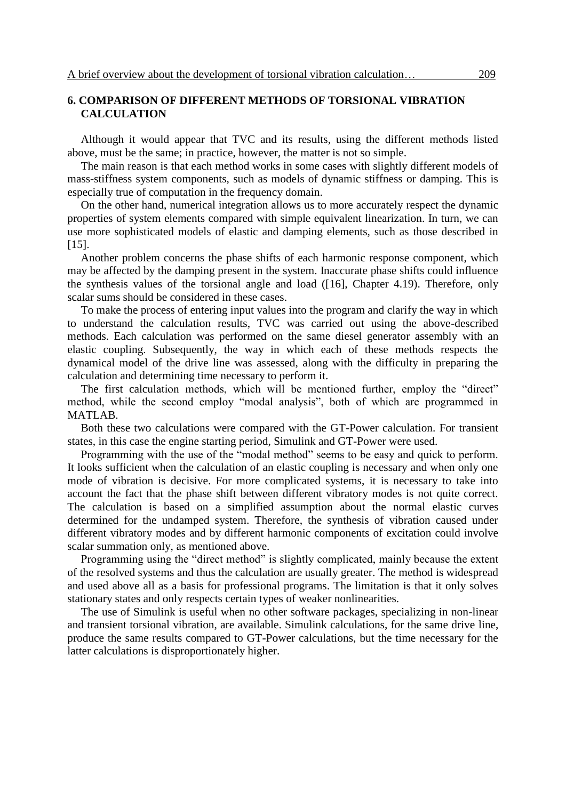# **6. COMPARISON OF DIFFERENT METHODS OF TORSIONAL VIBRATION CALCULATION**

Although it would appear that TVC and its results, using the different methods listed above, must be the same; in practice, however, the matter is not so simple.

The main reason is that each method works in some cases with slightly different models of mass-stiffness system components, such as models of dynamic stiffness or damping. This is especially true of computation in the frequency domain.

On the other hand, numerical integration allows us to more accurately respect the dynamic properties of system elements compared with simple equivalent linearization. In turn, we can use more sophisticated models of elastic and damping elements, such as those described in  $[15]$ .

Another problem concerns the phase shifts of each harmonic response component, which may be affected by the damping present in the system. Inaccurate phase shifts could influence the synthesis values of the torsional angle and load ([16], Chapter 4.19). Therefore, only scalar sums should be considered in these cases.

To make the process of entering input values into the program and clarify the way in which to understand the calculation results, TVC was carried out using the above-described methods. Each calculation was performed on the same diesel generator assembly with an elastic coupling. Subsequently, the way in which each of these methods respects the dynamical model of the drive line was assessed, along with the difficulty in preparing the calculation and determining time necessary to perform it.

The first calculation methods, which will be mentioned further, employ the "direct" method, while the second employ "modal analysis", both of which are programmed in MATLAB.

Both these two calculations were compared with the GT-Power calculation. For transient states, in this case the engine starting period, Simulink and GT-Power were used.

Programming with the use of the "modal method" seems to be easy and quick to perform. It looks sufficient when the calculation of an elastic coupling is necessary and when only one mode of vibration is decisive. For more complicated systems, it is necessary to take into account the fact that the phase shift between different vibratory modes is not quite correct. The calculation is based on a simplified assumption about the normal elastic curves determined for the undamped system. Therefore, the synthesis of vibration caused under different vibratory modes and by different harmonic components of excitation could involve scalar summation only, as mentioned above.

Programming using the "direct method" is slightly complicated, mainly because the extent of the resolved systems and thus the calculation are usually greater. The method is widespread and used above all as a basis for professional programs. The limitation is that it only solves stationary states and only respects certain types of weaker nonlinearities.

The use of Simulink is useful when no other software packages, specializing in non-linear and transient torsional vibration, are available. Simulink calculations, for the same drive line, produce the same results compared to GT-Power calculations, but the time necessary for the latter calculations is disproportionately higher.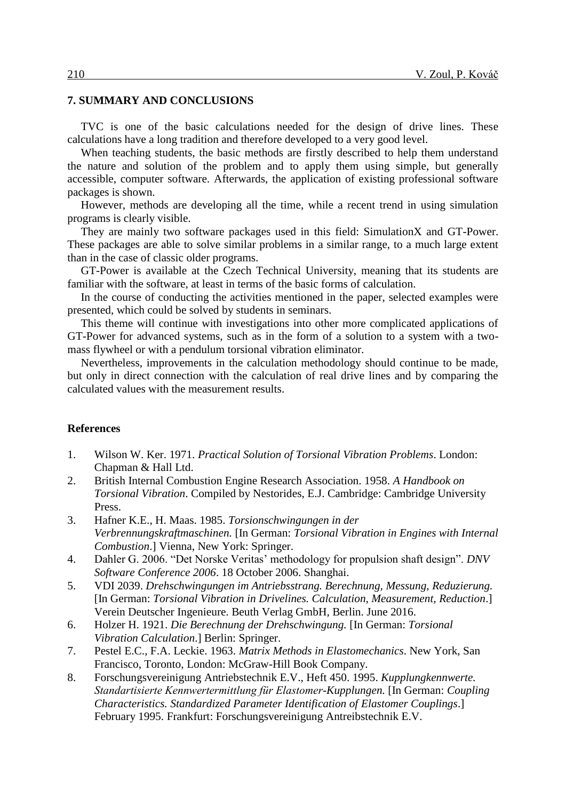## **7. SUMMARY AND CONCLUSIONS**

TVC is one of the basic calculations needed for the design of drive lines. These calculations have a long tradition and therefore developed to a very good level.

When teaching students, the basic methods are firstly described to help them understand the nature and solution of the problem and to apply them using simple, but generally accessible, computer software. Afterwards, the application of existing professional software packages is shown.

However, methods are developing all the time, while a recent trend in using simulation programs is clearly visible.

They are mainly two software packages used in this field: SimulationX and GT-Power. These packages are able to solve similar problems in a similar range, to a much large extent than in the case of classic older programs.

GT-Power is available at the Czech Technical University, meaning that its students are familiar with the software, at least in terms of the basic forms of calculation.

In the course of conducting the activities mentioned in the paper, selected examples were presented, which could be solved by students in seminars.

This theme will continue with investigations into other more complicated applications of GT-Power for advanced systems, such as in the form of a solution to a system with a twomass flywheel or with a pendulum torsional vibration eliminator.

Nevertheless, improvements in the calculation methodology should continue to be made, but only in direct connection with the calculation of real drive lines and by comparing the calculated values with the measurement results.

#### **References**

- 1. Wilson W. Ker. 1971. *Practical Solution of Torsional Vibration Problems*. London: Chapman & Hall Ltd.
- 2. British Internal Combustion Engine Research Association. 1958. *A Handbook on Torsional Vibration*. Compiled by Nestorides, E.J. Cambridge: Cambridge University Press.
- 3. Hafner K.E., H. Maas. 1985. *Torsionschwingungen in der Verbrennungskraftmaschinen.* [In German: *Torsional Vibration in Engines with Internal Combustion*.] Vienna, New York: Springer.
- 4. Dahler G. 2006. "Det Norske Veritas' methodology for propulsion shaft design". *DNV Software Conference 2006*. 18 October 2006. Shanghai.
- 5. VDI 2039. *Drehschwingungen im Antriebsstrang. Berechnung, Messung, Reduzierung.*  [In German: *Torsional Vibration in Drivelines. Calculation, Measurement, Reduction*.] Verein Deutscher Ingenieure. Beuth Verlag GmbH, Berlin. June 2016.
- 6. Holzer H. 1921. *Die Berechnung der Drehschwingung.* [In German: *Torsional Vibration Calculation*.] Berlin: Springer.
- 7. Pestel E.C., F.A. Leckie. 1963. *Matrix Methods in Elastomechanics*. New York, San Francisco, Toronto, London: McGraw-Hill Book Company.
- 8. Forschungsvereinigung Antriebstechnik E.V., Heft 450. 1995. *Kupplungkennwerte. Standartisierte Kennwertermittlung für Elastomer-Kupplungen.* [In German: *Coupling Characteristics. Standardized Parameter Identification of Elastomer Couplings*.] February 1995. Frankfurt: Forschungsvereinigung Antreibstechnik E.V.